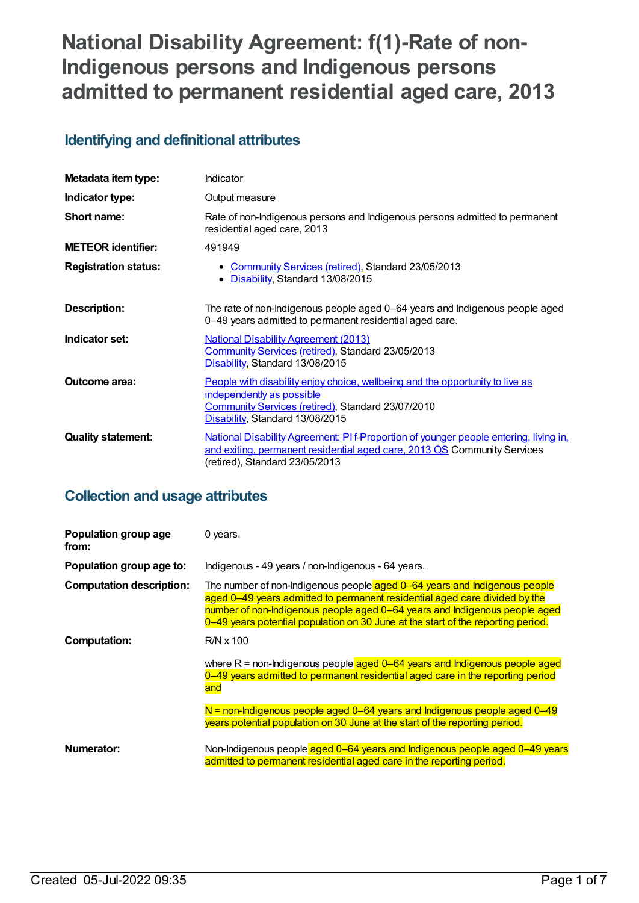# **National Disability Agreement: f(1)-Rate of non-Indigenous persons and Indigenous persons admitted to permanent residential aged care, 2013**

# **Identifying and definitional attributes**

| Metadata item type:         | Indicator                                                                                                                                                                                           |
|-----------------------------|-----------------------------------------------------------------------------------------------------------------------------------------------------------------------------------------------------|
| Indicator type:             | Output measure                                                                                                                                                                                      |
| Short name:                 | Rate of non-Indigenous persons and Indigenous persons admitted to permanent<br>residential aged care, 2013                                                                                          |
| <b>METEOR identifier:</b>   | 491949                                                                                                                                                                                              |
| <b>Registration status:</b> | • Community Services (retired), Standard 23/05/2013<br>Disability, Standard 13/08/2015<br>٠                                                                                                         |
| <b>Description:</b>         | The rate of non-Indigenous people aged 0–64 years and Indigenous people aged<br>0-49 years admitted to permanent residential aged care.                                                             |
| Indicator set:              | <b>National Disability Agreement (2013)</b><br><b>Community Services (retired), Standard 23/05/2013</b><br>Disability, Standard 13/08/2015                                                          |
| Outcome area:               | People with disability enjoy choice, wellbeing and the opportunity to live as<br>independently as possible<br>Community Services (retired), Standard 23/07/2010<br>Disability, Standard 13/08/2015  |
| <b>Quality statement:</b>   | National Disability Agreement: PI f-Proportion of younger people entering, living in,<br>and exiting, permanent residential aged care, 2013 QS Community Services<br>(retired), Standard 23/05/2013 |

# **Collection and usage attributes**

| Population group age<br>from:   | 0 years.                                                                                                                                                                                                                                                                                                                                                  |
|---------------------------------|-----------------------------------------------------------------------------------------------------------------------------------------------------------------------------------------------------------------------------------------------------------------------------------------------------------------------------------------------------------|
| Population group age to:        | Indigenous - 49 years / non-Indigenous - 64 years.                                                                                                                                                                                                                                                                                                        |
| <b>Computation description:</b> | The number of non-Indigenous people aged 0-64 years and Indigenous people<br>aged 0-49 years admitted to permanent residential aged care divided by the<br>number of non-Indigenous people aged 0-64 years and Indigenous people aged<br>0–49 years potential population on 30 June at the start of the reporting period.                                 |
| <b>Computation:</b>             | $R/N \times 100$<br>where $R =$ non-Indigenous people aged $0-64$ years and Indigenous people aged<br>0–49 years admitted to permanent residential aged care in the reporting period<br>and<br>$N$ = non-Indigenous people aged 0–64 years and Indigenous people aged 0–49<br>years potential population on 30 June at the start of the reporting period. |
| Numerator:                      | Non-Indigenous people aged 0-64 years and Indigenous people aged 0-49 years<br>admitted to permanent residential aged care in the reporting period.                                                                                                                                                                                                       |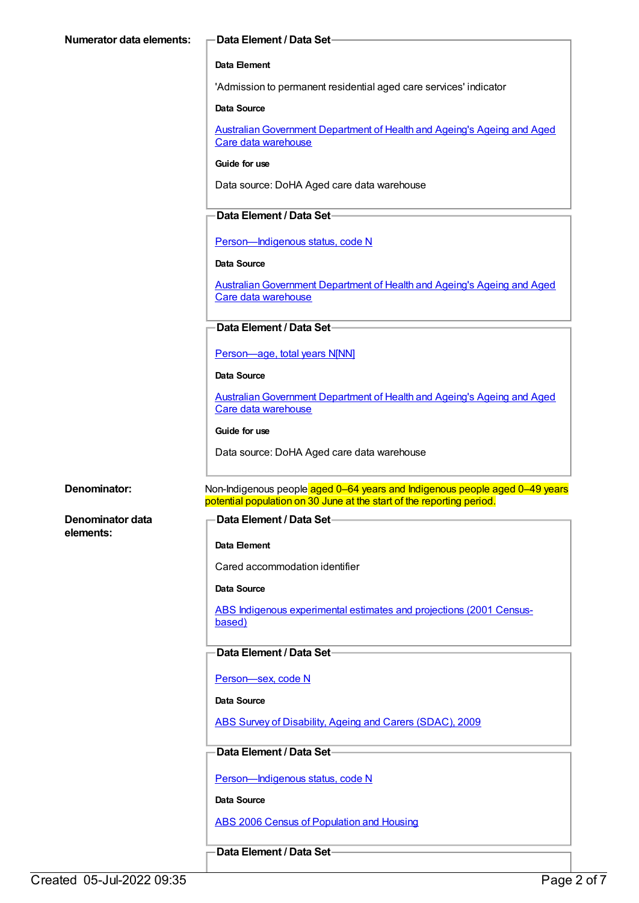#### **Data Element / Data Set**

#### **Data Element**

'Admission to permanent residential aged care services' indicator

#### **Data Source**

Australian Government Department of Health and Ageing's Ageing and Aged Care data warehouse

## **Guide for use**

Data source: DoHA Aged care data warehouse

# **Data Element / Data Set**

[Person—Indigenous](https://meteor.aihw.gov.au/content/270157) status, code N

#### **Data Source**

Australian Government Department of Health and Ageing's Ageing and Aged Care data warehouse

# **Data Element / Data Set**

[Person—age,](https://meteor.aihw.gov.au/content/303794) total years N[NN]

**Data Source**

[AustralianGovernment](https://meteor.aihw.gov.au/content/394091) Department of Health and Ageing's Ageing and Aged Care data warehouse

**Guide for use**

Data source: DoHA Aged care data warehouse

**Denominator data elements:**

**Denominator:** Non-Indigenous people aged 0–64 years and Indigenous people aged 0–49 years potential population on 30 June at the start of the reporting period.

# **Data Element / Data Set**

**Data Element**

Cared accommodation identifier

## **Data Source**

ABS Indigenous [experimental](https://meteor.aihw.gov.au/content/394092) estimates and projections (2001 Censusbased)

# **Data Element / Data Set**

[Person—sex,](https://meteor.aihw.gov.au/content/287316) code N

## **Data Source**

ABS Survey of [Disability,](https://meteor.aihw.gov.au/content/445288) Ageing and Carers (SDAC), 2009

# **Data Element / Data Set**

Person-Indigenous status, code N

**Data Source**

ABS 2006 Census of [Population](https://meteor.aihw.gov.au/content/394447) and Housing

**Data Element / Data Set**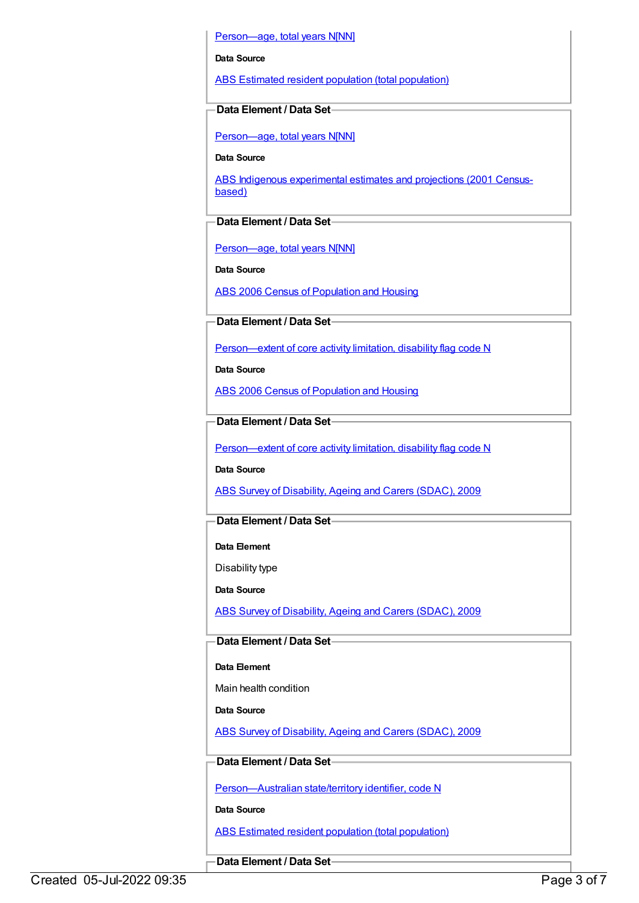Person-age, total years N[NN]

#### **Data Source**

ABS Estimated resident population (total [population\)](https://meteor.aihw.gov.au/content/393625)

# **Data Element / Data Set**

[Person—age,](https://meteor.aihw.gov.au/content/303794) total years N[NN]

**Data Source**

ABS Indigenous [experimental](https://meteor.aihw.gov.au/content/394092) estimates and projections (2001 Censusbased)

# **Data Element / Data Set**

[Person—age,](https://meteor.aihw.gov.au/content/303794) total years N[NN]

**Data Source**

ABS 2006 Census of [Population](https://meteor.aihw.gov.au/content/394447) and Housing

# **Data Element / Data Set**

[Person—extent](https://meteor.aihw.gov.au/content/541585) of core activity limitation, disability flag code N

**Data Source**

ABS 2006 Census of [Population](https://meteor.aihw.gov.au/content/394447) and Housing

# **Data Element / Data Set**

[Person—extent](https://meteor.aihw.gov.au/content/541585) of core activity limitation, disability flag code N

**Data Source**

ABS Survey of [Disability,](https://meteor.aihw.gov.au/content/445288) Ageing and Carers (SDAC), 2009

# **Data Element / Data Set**

**Data Element**

Disability type

**Data Source**

ABS Survey of [Disability,](https://meteor.aihw.gov.au/content/445288) Ageing and Carers (SDAC), 2009

# **Data Element / Data Set**

## **Data Element**

Main health condition

**Data Source**

ABS Survey of [Disability,](https://meteor.aihw.gov.au/content/445288) Ageing and Carers (SDAC), 2009

# **Data Element / Data Set**

[Person—Australian](https://meteor.aihw.gov.au/content/286919) state/territory identifier, code N

**Data Source**

ABS Estimated resident population (total [population\)](https://meteor.aihw.gov.au/content/393625)

**Data Element / Data Set**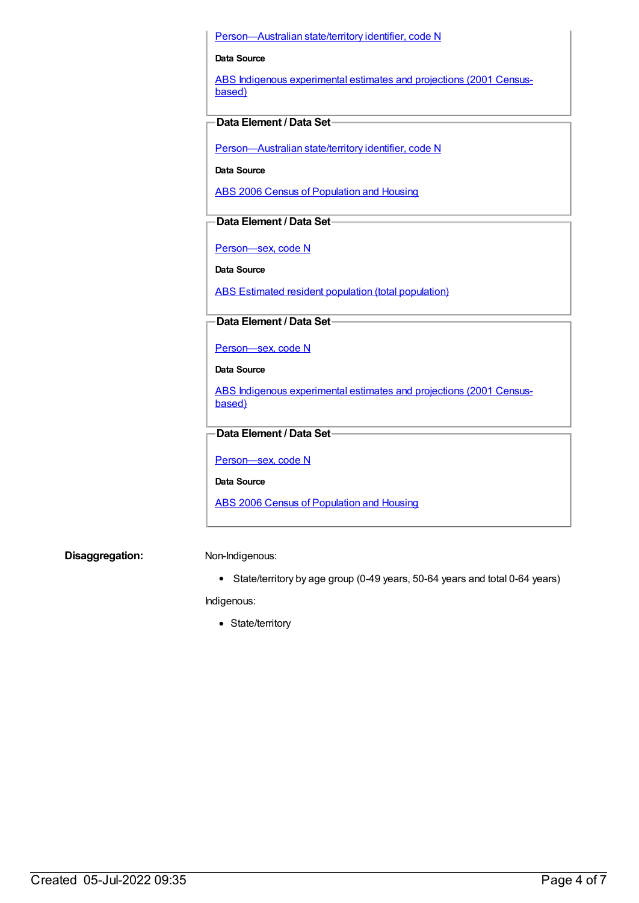#### [Person—Australian](https://meteor.aihw.gov.au/content/286919) state/territory identifier, code N

#### **Data Source**

ABS Indigenous [experimental](https://meteor.aihw.gov.au/content/394092) estimates and projections (2001 Censusbased)

# **Data Element / Data Set**

[Person—Australian](https://meteor.aihw.gov.au/content/286919) state/territory identifier, code N

**Data Source**

ABS 2006 Census of [Population](https://meteor.aihw.gov.au/content/394447) and Housing

# **Data Element / Data Set**

[Person—sex,](https://meteor.aihw.gov.au/content/287316) code N

**Data Source**

ABS Estimated resident population (total [population\)](https://meteor.aihw.gov.au/content/393625)

## **Data Element / Data Set**

[Person—sex,](https://meteor.aihw.gov.au/content/287316) code N

**Data Source**

ABS Indigenous [experimental](https://meteor.aihw.gov.au/content/394092) estimates and projections (2001 Censusbased)

## **Data Element / Data Set**

[Person—sex,](https://meteor.aihw.gov.au/content/287316) code N

**Data Source**

ABS 2006 Census of [Population](https://meteor.aihw.gov.au/content/394447) and Housing

**Disaggregation:** Non-Indigenous:

State/territory by age group (0-49 years, 50-64 years and total 0-64 years)

Indigenous:

• State/territory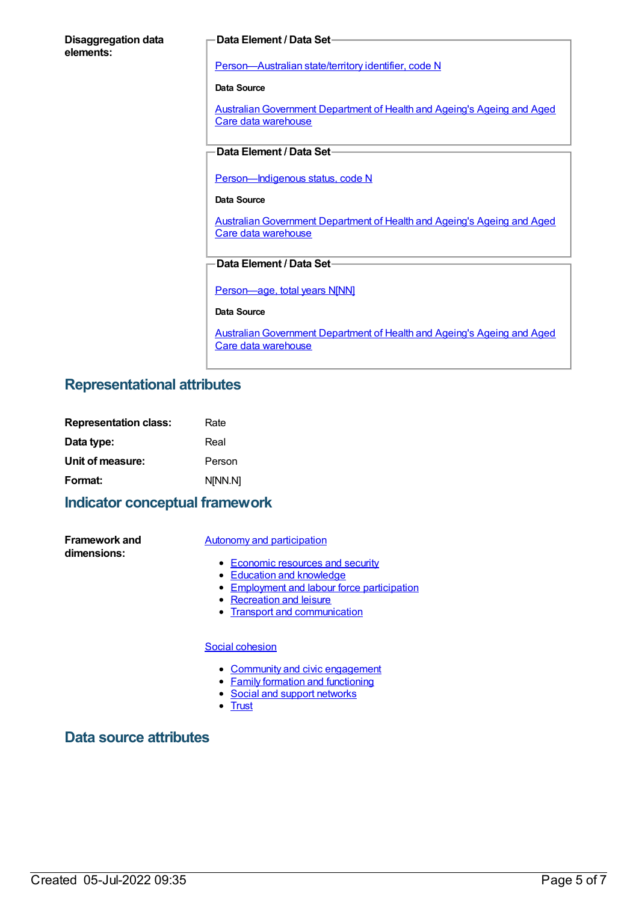## **Disaggregation data elements:**

#### **Data Element / Data Set**

[Person—Australian](https://meteor.aihw.gov.au/content/286919) state/territory identifier, code N

**Data Source**

Australian Government Department of Health and Ageing's Ageing and Aged Care data warehouse

# **Data Element / Data Set**

[Person—Indigenous](https://meteor.aihw.gov.au/content/291036) status, code N

#### **Data Source**

[AustralianGovernment](https://meteor.aihw.gov.au/content/394091) Department of Health and Ageing's Ageing and Aged Care data warehouse

# **Data Element / Data Set**

[Person—age,](https://meteor.aihw.gov.au/content/303794) total years N[NN]

#### **Data Source**

[AustralianGovernment](https://meteor.aihw.gov.au/content/394091) Department of Health and Ageing's Ageing and Aged Care data warehouse

# **Representational attributes**

| <b>Representation class:</b> | Rate    |
|------------------------------|---------|
| Data type:                   | Real    |
| Unit of measure:             | Person  |
| Format:                      | N[NN.N] |

# **Indicator conceptual framework**

**Framework and dimensions:**

#### Autonomy and [participation](https://meteor.aihw.gov.au/content/392703)

- [Economic](https://meteor.aihw.gov.au/content/392708) resources and security
- Education and [knowledge](https://meteor.aihw.gov.au/content/392707)
- **[Employment](https://meteor.aihw.gov.au/content/392706) and labour force participation**
- [Recreation](https://meteor.aihw.gov.au/content/392705) and leisure
- Transport and [communication](https://meteor.aihw.gov.au/content/392704)

## Social [cohesion](https://meteor.aihw.gov.au/content/392693)

- Community and civic [engagement](https://meteor.aihw.gov.au/content/392697)
- Family formation and [functioning](https://meteor.aihw.gov.au/content/392696)
- Social and support [networks](https://meteor.aihw.gov.au/content/392695)
- [Trust](https://meteor.aihw.gov.au/content/392694)

# **Data source attributes**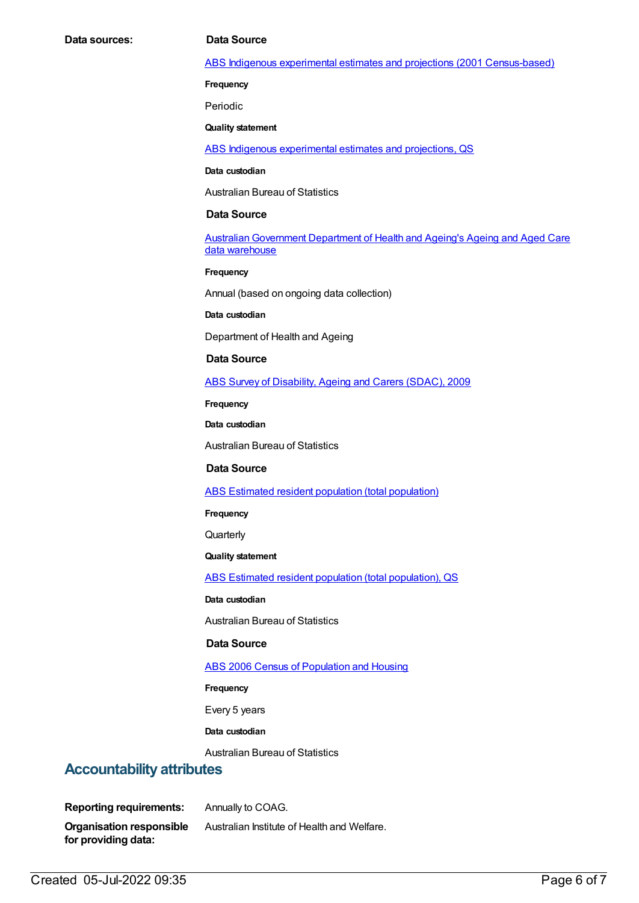#### ABS Indigenous experimental estimates and projections (2001 [Census-based\)](https://meteor.aihw.gov.au/content/394092)

**Frequency**

Periodic

**Quality statement**

ABS Indigenous [experimental](https://meteor.aihw.gov.au/content/449223) estimates and projections, QS

**Data custodian**

Australian Bureau of Statistics

#### **Data Source**

Australian Government Department of Health and Ageing's Ageing and Aged Care data warehouse

**Frequency**

Annual (based on ongoing data collection)

**Data custodian**

Department of Health and Ageing

#### **Data Source**

ABS Survey of [Disability,](https://meteor.aihw.gov.au/content/445288) Ageing and Carers (SDAC), 2009

**Frequency**

**Data custodian**

Australian Bureau of Statistics

# **Data Source**

ABS Estimated resident population (total [population\)](https://meteor.aihw.gov.au/content/393625)

**Frequency**

**Quarterly** 

**Quality statement**

ABS Estimated resident population (total [population\),](https://meteor.aihw.gov.au/content/449216) QS

**Data custodian**

Australian Bureau of Statistics

#### **Data Source**

ABS 2006 Census of [Population](https://meteor.aihw.gov.au/content/394447) and Housing

#### **Frequency**

Every 5 years

**Data custodian**

Australian Bureau of Statistics

# **Accountability attributes**

**Reporting requirements:** Annually to COAG. **Organisation responsible for providing data:** Australian Institute of Health and Welfare.